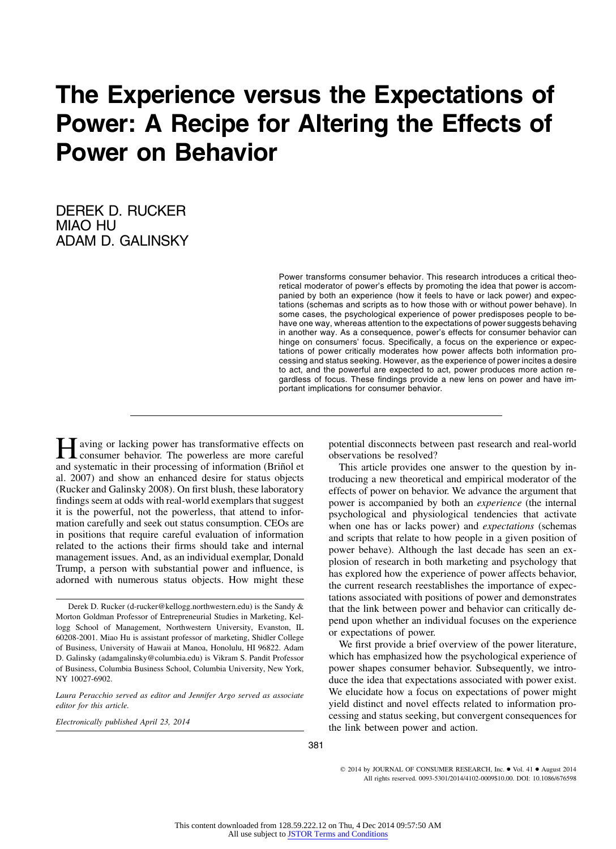# **The Experience versus the Expectations of Power: A Recipe for Altering the Effects of Power on Behavior**

DEREK D. RUCKER MIAO HU ADAM D. GALINSKY

> Power transforms consumer behavior. This research introduces a critical theoretical moderator of power's effects by promoting the idea that power is accompanied by both an experience (how it feels to have or lack power) and expectations (schemas and scripts as to how those with or without power behave). In some cases, the psychological experience of power predisposes people to behave one way, whereas attention to the expectations of power suggests behaving in another way. As a consequence, power's effects for consumer behavior can hinge on consumers' focus. Specifically, a focus on the experience or expectations of power critically moderates how power affects both information processing and status seeking. However, as the experience of power incites a desire to act, and the powerful are expected to act, power produces more action regardless of focus. These findings provide a new lens on power and have important implications for consumer behavior.

wing or lacking power has transformative effects on consumer behavior. The powerless are more careful and systematic in their processing of information (Briñol et al. 2007) and show an enhanced desire for status objects (Rucker and Galinsky 2008). On first blush, these laboratory findings seem at odds with real-world exemplars that suggest it is the powerful, not the powerless, that attend to information carefully and seek out status consumption. CEOs are in positions that require careful evaluation of information related to the actions their firms should take and internal management issues. And, as an individual exemplar, Donald Trump, a person with substantial power and influence, is adorned with numerous status objects. How might these

*Laura Peracchio served as editor and Jennifer Argo served as associate editor for this article.*

*Electronically published April 23, 2014*

potential disconnects between past research and real-world observations be resolved?

This article provides one answer to the question by introducing a new theoretical and empirical moderator of the effects of power on behavior. We advance the argument that power is accompanied by both an *experience* (the internal psychological and physiological tendencies that activate when one has or lacks power) and *expectations* (schemas and scripts that relate to how people in a given position of power behave). Although the last decade has seen an explosion of research in both marketing and psychology that has explored how the experience of power affects behavior, the current research reestablishes the importance of expectations associated with positions of power and demonstrates that the link between power and behavior can critically depend upon whether an individual focuses on the experience or expectations of power.

We first provide a brief overview of the power literature, which has emphasized how the psychological experience of power shapes consumer behavior. Subsequently, we introduce the idea that expectations associated with power exist. We elucidate how a focus on expectations of power might yield distinct and novel effects related to information processing and status seeking, but convergent consequences for the link between power and action.

Derek D. Rucker [\(d-rucker@kellogg.northwestern.edu\)](mailto:d-rucker@kellogg.northwestern.edu) is the Sandy & Morton Goldman Professor of Entrepreneurial Studies in Marketing, Kellogg School of Management, Northwestern University, Evanston, IL 60208-2001. Miao Hu is assistant professor of marketing, Shidler College of Business, University of Hawaii at Manoa, Honolulu, HI 96822. Adam D. Galinsky [\(adamgalinsky@columbia.edu\)](mailto:adamgalinsky@columbia.edu) is Vikram S. Pandit Professor of Business, Columbia Business School, Columbia University, New York, NY 10027-6902.

<sup>© 2014</sup> by JOURNAL OF CONSUMER RESEARCH, Inc. • Vol. 41 • August 2014 All rights reserved. 0093-5301/2014/4102-0009\$10.00. DOI: 10.1086/676598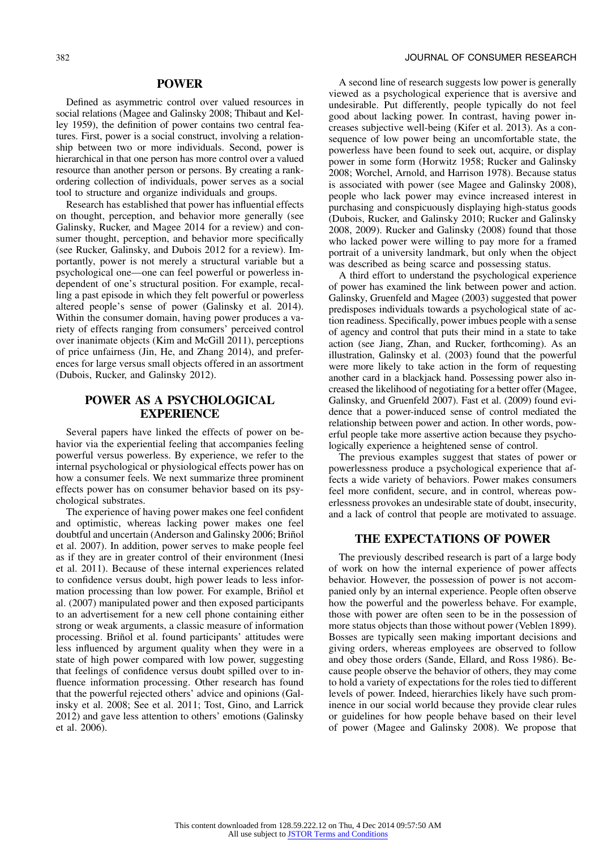#### **POWER**

Defined as asymmetric control over valued resources in social relations (Magee and Galinsky 2008; Thibaut and Kelley 1959), the definition of power contains two central features. First, power is a social construct, involving a relationship between two or more individuals. Second, power is hierarchical in that one person has more control over a valued resource than another person or persons. By creating a rankordering collection of individuals, power serves as a social tool to structure and organize individuals and groups.

Research has established that power has influential effects on thought, perception, and behavior more generally (see Galinsky, Rucker, and Magee 2014 for a review) and consumer thought, perception, and behavior more specifically (see Rucker, Galinsky, and Dubois 2012 for a review). Importantly, power is not merely a structural variable but a psychological one—one can feel powerful or powerless independent of one's structural position. For example, recalling a past episode in which they felt powerful or powerless altered people's sense of power (Galinsky et al. 2014). Within the consumer domain, having power produces a variety of effects ranging from consumers' perceived control over inanimate objects (Kim and McGill 2011), perceptions of price unfairness (Jin, He, and Zhang 2014), and preferences for large versus small objects offered in an assortment (Dubois, Rucker, and Galinsky 2012).

# **POWER AS A PSYCHOLOGICAL EXPERIENCE**

Several papers have linked the effects of power on behavior via the experiential feeling that accompanies feeling powerful versus powerless. By experience, we refer to the internal psychological or physiological effects power has on how a consumer feels. We next summarize three prominent effects power has on consumer behavior based on its psychological substrates.

The experience of having power makes one feel confident and optimistic, whereas lacking power makes one feel doubtful and uncertain (Anderson and Galinsky 2006; Briñol et al. 2007). In addition, power serves to make people feel as if they are in greater control of their environment (Inesi et al. 2011). Because of these internal experiences related to confidence versus doubt, high power leads to less information processing than low power. For example, Briñol et al. (2007) manipulated power and then exposed participants to an advertisement for a new cell phone containing either strong or weak arguments, a classic measure of information processing. Briñol et al. found participants' attitudes were less influenced by argument quality when they were in a state of high power compared with low power, suggesting that feelings of confidence versus doubt spilled over to influence information processing. Other research has found that the powerful rejected others' advice and opinions (Galinsky et al. 2008; See et al. 2011; Tost, Gino, and Larrick 2012) and gave less attention to others' emotions (Galinsky et al. 2006).

A second line of research suggests low power is generally viewed as a psychological experience that is aversive and undesirable. Put differently, people typically do not feel good about lacking power. In contrast, having power increases subjective well-being (Kifer et al. 2013). As a consequence of low power being an uncomfortable state, the powerless have been found to seek out, acquire, or display power in some form (Horwitz 1958; Rucker and Galinsky 2008; Worchel, Arnold, and Harrison 1978). Because status is associated with power (see Magee and Galinsky 2008), people who lack power may evince increased interest in purchasing and conspicuously displaying high-status goods (Dubois, Rucker, and Galinsky 2010; Rucker and Galinsky 2008, 2009). Rucker and Galinsky (2008) found that those who lacked power were willing to pay more for a framed portrait of a university landmark, but only when the object was described as being scarce and possessing status.

A third effort to understand the psychological experience of power has examined the link between power and action. Galinsky, Gruenfeld and Magee (2003) suggested that power predisposes individuals towards a psychological state of action readiness. Specifically, power imbues people with a sense of agency and control that puts their mind in a state to take action (see Jiang, Zhan, and Rucker, forthcoming). As an illustration, Galinsky et al. (2003) found that the powerful were more likely to take action in the form of requesting another card in a blackjack hand. Possessing power also increased the likelihood of negotiating for a better offer (Magee, Galinsky, and Gruenfeld 2007). Fast et al. (2009) found evidence that a power-induced sense of control mediated the relationship between power and action. In other words, powerful people take more assertive action because they psychologically experience a heightened sense of control.

The previous examples suggest that states of power or powerlessness produce a psychological experience that affects a wide variety of behaviors. Power makes consumers feel more confident, secure, and in control, whereas powerlessness provokes an undesirable state of doubt, insecurity, and a lack of control that people are motivated to assuage.

### **THE EXPECTATIONS OF POWER**

The previously described research is part of a large body of work on how the internal experience of power affects behavior. However, the possession of power is not accompanied only by an internal experience. People often observe how the powerful and the powerless behave. For example, those with power are often seen to be in the possession of more status objects than those without power (Veblen 1899). Bosses are typically seen making important decisions and giving orders, whereas employees are observed to follow and obey those orders (Sande, Ellard, and Ross 1986). Because people observe the behavior of others, they may come to hold a variety of expectations for the roles tied to different levels of power. Indeed, hierarchies likely have such prominence in our social world because they provide clear rules or guidelines for how people behave based on their level of power (Magee and Galinsky 2008). We propose that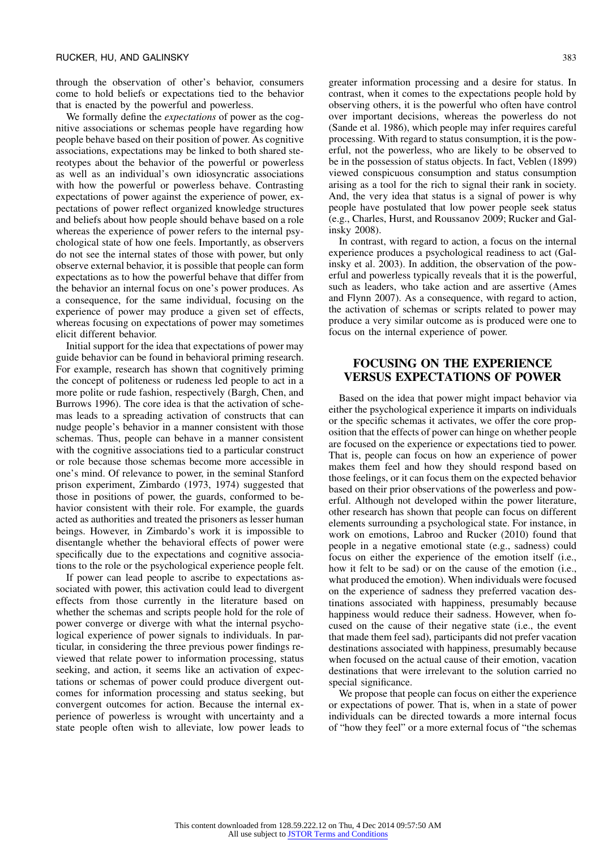through the observation of other's behavior, consumers come to hold beliefs or expectations tied to the behavior that is enacted by the powerful and powerless.

We formally define the *expectations* of power as the cognitive associations or schemas people have regarding how people behave based on their position of power. As cognitive associations, expectations may be linked to both shared stereotypes about the behavior of the powerful or powerless as well as an individual's own idiosyncratic associations with how the powerful or powerless behave. Contrasting expectations of power against the experience of power, expectations of power reflect organized knowledge structures and beliefs about how people should behave based on a role whereas the experience of power refers to the internal psychological state of how one feels. Importantly, as observers do not see the internal states of those with power, but only observe external behavior, it is possible that people can form expectations as to how the powerful behave that differ from the behavior an internal focus on one's power produces. As a consequence, for the same individual, focusing on the experience of power may produce a given set of effects, whereas focusing on expectations of power may sometimes elicit different behavior.

Initial support for the idea that expectations of power may guide behavior can be found in behavioral priming research. For example, research has shown that cognitively priming the concept of politeness or rudeness led people to act in a more polite or rude fashion, respectively (Bargh, Chen, and Burrows 1996). The core idea is that the activation of schemas leads to a spreading activation of constructs that can nudge people's behavior in a manner consistent with those schemas. Thus, people can behave in a manner consistent with the cognitive associations tied to a particular construct or role because those schemas become more accessible in one's mind. Of relevance to power, in the seminal Stanford prison experiment, Zimbardo (1973, 1974) suggested that those in positions of power, the guards, conformed to behavior consistent with their role. For example, the guards acted as authorities and treated the prisoners as lesser human beings. However, in Zimbardo's work it is impossible to disentangle whether the behavioral effects of power were specifically due to the expectations and cognitive associations to the role or the psychological experience people felt.

If power can lead people to ascribe to expectations associated with power, this activation could lead to divergent effects from those currently in the literature based on whether the schemas and scripts people hold for the role of power converge or diverge with what the internal psychological experience of power signals to individuals. In particular, in considering the three previous power findings reviewed that relate power to information processing, status seeking, and action, it seems like an activation of expectations or schemas of power could produce divergent outcomes for information processing and status seeking, but convergent outcomes for action. Because the internal experience of powerless is wrought with uncertainty and a state people often wish to alleviate, low power leads to

greater information processing and a desire for status. In contrast, when it comes to the expectations people hold by observing others, it is the powerful who often have control over important decisions, whereas the powerless do not (Sande et al. 1986), which people may infer requires careful processing. With regard to status consumption, it is the powerful, not the powerless, who are likely to be observed to be in the possession of status objects. In fact, Veblen (1899) viewed conspicuous consumption and status consumption arising as a tool for the rich to signal their rank in society. And, the very idea that status is a signal of power is why people have postulated that low power people seek status (e.g., Charles, Hurst, and Roussanov 2009; Rucker and Galinsky 2008).

In contrast, with regard to action, a focus on the internal experience produces a psychological readiness to act (Galinsky et al. 2003). In addition, the observation of the powerful and powerless typically reveals that it is the powerful, such as leaders, who take action and are assertive (Ames and Flynn 2007). As a consequence, with regard to action, the activation of schemas or scripts related to power may produce a very similar outcome as is produced were one to focus on the internal experience of power.

# **FOCUSING ON THE EXPERIENCE VERSUS EXPECTATIONS OF POWER**

Based on the idea that power might impact behavior via either the psychological experience it imparts on individuals or the specific schemas it activates, we offer the core proposition that the effects of power can hinge on whether people are focused on the experience or expectations tied to power. That is, people can focus on how an experience of power makes them feel and how they should respond based on those feelings, or it can focus them on the expected behavior based on their prior observations of the powerless and powerful. Although not developed within the power literature, other research has shown that people can focus on different elements surrounding a psychological state. For instance, in work on emotions, Labroo and Rucker (2010) found that people in a negative emotional state (e.g., sadness) could focus on either the experience of the emotion itself (i.e., how it felt to be sad) or on the cause of the emotion (i.e., what produced the emotion). When individuals were focused on the experience of sadness they preferred vacation destinations associated with happiness, presumably because happiness would reduce their sadness. However, when focused on the cause of their negative state (i.e., the event that made them feel sad), participants did not prefer vacation destinations associated with happiness, presumably because when focused on the actual cause of their emotion, vacation destinations that were irrelevant to the solution carried no special significance.

We propose that people can focus on either the experience or expectations of power. That is, when in a state of power individuals can be directed towards a more internal focus of "how they feel" or a more external focus of "the schemas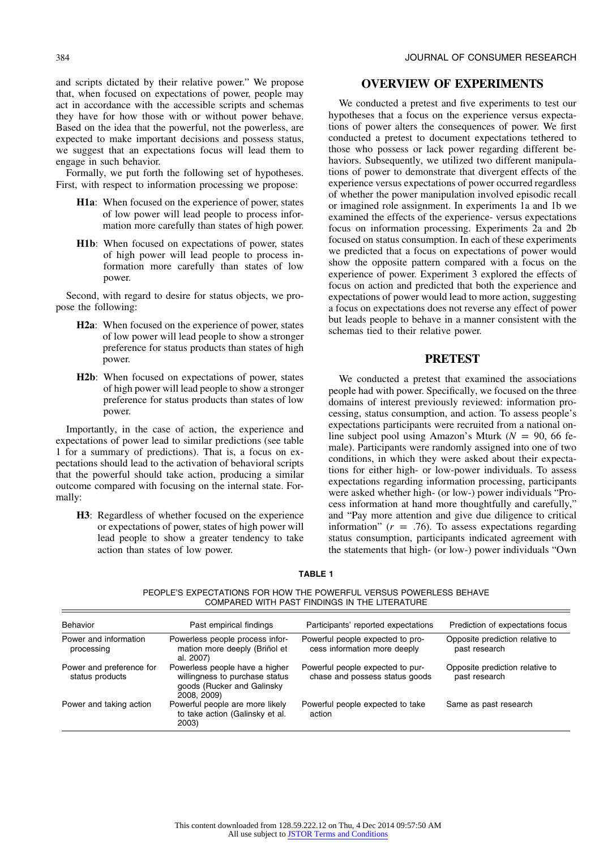and scripts dictated by their relative power." We propose that, when focused on expectations of power, people may act in accordance with the accessible scripts and schemas they have for how those with or without power behave. Based on the idea that the powerful, not the powerless, are expected to make important decisions and possess status, we suggest that an expectations focus will lead them to engage in such behavior.

Formally, we put forth the following set of hypotheses. First, with respect to information processing we propose:

- **H1a**: When focused on the experience of power, states of low power will lead people to process information more carefully than states of high power.
- **H1b**: When focused on expectations of power, states of high power will lead people to process information more carefully than states of low power.

Second, with regard to desire for status objects, we propose the following:

- **H2a**: When focused on the experience of power, states of low power will lead people to show a stronger preference for status products than states of high power.
- **H2b**: When focused on expectations of power, states of high power will lead people to show a stronger preference for status products than states of low power.

Importantly, in the case of action, the experience and expectations of power lead to similar predictions (see table 1 for a summary of predictions). That is, a focus on expectations should lead to the activation of behavioral scripts that the powerful should take action, producing a similar outcome compared with focusing on the internal state. Formally:

**H3**: Regardless of whether focused on the experience or expectations of power, states of high power will lead people to show a greater tendency to take action than states of low power.

## **OVERVIEW OF EXPERIMENTS**

We conducted a pretest and five experiments to test our hypotheses that a focus on the experience versus expectations of power alters the consequences of power. We first conducted a pretest to document expectations tethered to those who possess or lack power regarding different behaviors. Subsequently, we utilized two different manipulations of power to demonstrate that divergent effects of the experience versus expectations of power occurred regardless of whether the power manipulation involved episodic recall or imagined role assignment. In experiments 1a and 1b we examined the effects of the experience- versus expectations focus on information processing. Experiments 2a and 2b focused on status consumption. In each of these experiments we predicted that a focus on expectations of power would show the opposite pattern compared with a focus on the experience of power. Experiment 3 explored the effects of focus on action and predicted that both the experience and expectations of power would lead to more action, suggesting a focus on expectations does not reverse any effect of power but leads people to behave in a manner consistent with the schemas tied to their relative power.

# **PRETEST**

We conducted a pretest that examined the associations people had with power. Specifically, we focused on the three domains of interest previously reviewed: information processing, status consumption, and action. To assess people's expectations participants were recruited from a national online subject pool using Amazon's Mturk  $(N = 90, 66$  female). Participants were randomly assigned into one of two conditions, in which they were asked about their expectations for either high- or low-power individuals. To assess expectations regarding information processing, participants were asked whether high- (or low-) power individuals "Process information at hand more thoughtfully and carefully," and "Pay more attention and give due diligence to critical information"  $(r = .76)$ . To assess expectations regarding status consumption, participants indicated agreement with the statements that high- (or low-) power individuals "Own

#### **TABLE 1**

PEOPLE'S EXPECTATIONS FOR HOW THE POWERFUL VERSUS POWERLESS BEHAVE COMPARED WITH PAST FINDINGS IN THE LITERATURE

| Behavior                                    | Past empirical findings                                                                                       | Participants' reported expectations                                | Prediction of expectations focus                 |
|---------------------------------------------|---------------------------------------------------------------------------------------------------------------|--------------------------------------------------------------------|--------------------------------------------------|
| Power and information<br>processing         | Powerless people process infor-<br>mation more deeply (Briñol et<br>al. 2007)                                 | Powerful people expected to pro-<br>cess information more deeply   | Opposite prediction relative to<br>past research |
| Power and preference for<br>status products | Powerless people have a higher<br>willingness to purchase status<br>goods (Rucker and Galinsky<br>2008, 2009) | Powerful people expected to pur-<br>chase and possess status goods | Opposite prediction relative to<br>past research |
| Power and taking action                     | Powerful people are more likely<br>to take action (Galinsky et al.<br>2003)                                   | Powerful people expected to take<br>action                         | Same as past research                            |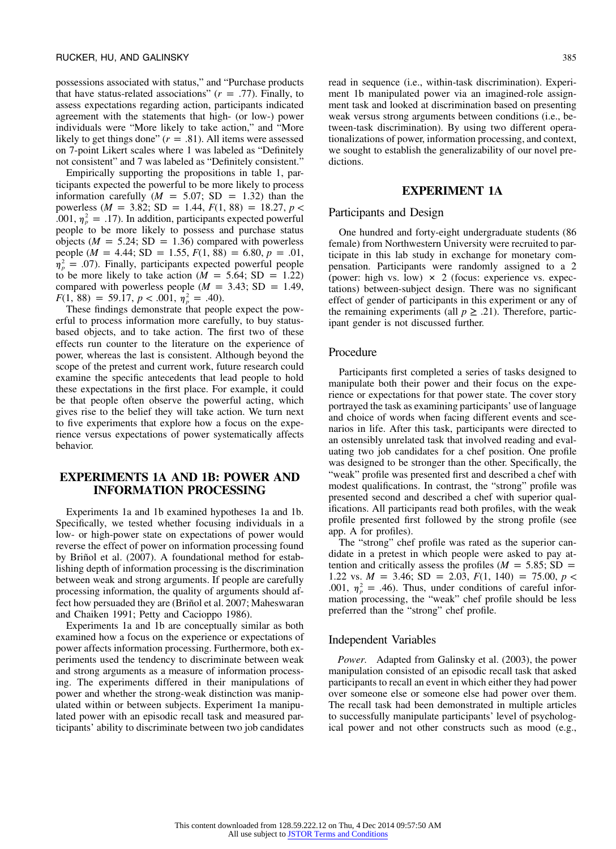possessions associated with status," and "Purchase products that have status-related associations"  $(r = .77)$ . Finally, to assess expectations regarding action, participants indicated agreement with the statements that high- (or low-) power individuals were "More likely to take action," and "More likely to get things done"  $(r = .81)$ . All items were assessed on 7-point Likert scales where 1 was labeled as "Definitely not consistent" and 7 was labeled as "Definitely consistent."

Empirically supporting the propositions in table 1, participants expected the powerful to be more likely to process information carefully  $(M = 5.07; SD = 1.32)$  than the powerless (*M* = 3.82; SD = 1.44,  $F(1, 88) = 18.27$ ,  $p <$ .001,  $\eta_p^2 = .17$ ). In addition, participants expected powerful people to be more likely to possess and purchase status objects ( $M = 5.24$ ; SD = 1.36) compared with powerless people (*M* = 4.44; SD = 1.55,  $F(1, 88) = 6.80, p = .01$ ,  $\eta_p^2 = .07$ ). Finally, participants expected powerful people to be more likely to take action ( $M = 5.64$ ; SD = 1.22) compared with powerless people  $(M = 3.43; SD = 1.49)$ ,  $F(1, 88) = 59.17, p < .001, \eta_p^2 = .40$ .

These findings demonstrate that people expect the powerful to process information more carefully, to buy statusbased objects, and to take action. The first two of these effects run counter to the literature on the experience of power, whereas the last is consistent. Although beyond the scope of the pretest and current work, future research could examine the specific antecedents that lead people to hold these expectations in the first place. For example, it could be that people often observe the powerful acting, which gives rise to the belief they will take action. We turn next to five experiments that explore how a focus on the experience versus expectations of power systematically affects behavior.

# **EXPERIMENTS 1A AND 1B: POWER AND INFORMATION PROCESSING**

Experiments 1a and 1b examined hypotheses 1a and 1b. Specifically, we tested whether focusing individuals in a low- or high-power state on expectations of power would reverse the effect of power on information processing found by Briñol et al. (2007). A foundational method for establishing depth of information processing is the discrimination between weak and strong arguments. If people are carefully processing information, the quality of arguments should affect how persuaded they are (Briñol et al. 2007; Maheswaran and Chaiken 1991; Petty and Cacioppo 1986).

Experiments 1a and 1b are conceptually similar as both examined how a focus on the experience or expectations of power affects information processing. Furthermore, both experiments used the tendency to discriminate between weak and strong arguments as a measure of information processing. The experiments differed in their manipulations of power and whether the strong-weak distinction was manipulated within or between subjects. Experiment 1a manipulated power with an episodic recall task and measured participants' ability to discriminate between two job candidates

read in sequence (i.e., within-task discrimination). Experiment 1b manipulated power via an imagined-role assignment task and looked at discrimination based on presenting weak versus strong arguments between conditions (i.e., between-task discrimination). By using two different operationalizations of power, information processing, and context, we sought to establish the generalizability of our novel predictions.

#### **EXPERIMENT 1A**

#### Participants and Design

One hundred and forty-eight undergraduate students (86 female) from Northwestern University were recruited to participate in this lab study in exchange for monetary compensation. Participants were randomly assigned to a 2 (power: high vs. low)  $\times$  2 (focus: experience vs. expectations) between-subject design. There was no significant effect of gender of participants in this experiment or any of the remaining experiments (all  $p \geq .21$ ). Therefore, participant gender is not discussed further.

#### Procedure

Participants first completed a series of tasks designed to manipulate both their power and their focus on the experience or expectations for that power state. The cover story portrayed the task as examining participants' use of language and choice of words when facing different events and scenarios in life. After this task, participants were directed to an ostensibly unrelated task that involved reading and evaluating two job candidates for a chef position. One profile was designed to be stronger than the other. Specifically, the "weak" profile was presented first and described a chef with modest qualifications. In contrast, the "strong" profile was presented second and described a chef with superior qualifications. All participants read both profiles, with the weak profile presented first followed by the strong profile (see app. A for profiles).

The "strong" chef profile was rated as the superior candidate in a pretest in which people were asked to pay attention and critically assess the profiles ( $M = 5.85$ ; SD = 1.22 vs.  $M = 3.46$ ; SD = 2.03,  $F(1, 140) = 75.00, p <$ .001,  $\eta_p^2 = .46$ ). Thus, under conditions of careful information processing, the "weak" chef profile should be less preferred than the "strong" chef profile.

#### Independent Variables

*Power.* Adapted from Galinsky et al. (2003), the power manipulation consisted of an episodic recall task that asked participants to recall an event in which either they had power over someone else or someone else had power over them. The recall task had been demonstrated in multiple articles to successfully manipulate participants' level of psychological power and not other constructs such as mood (e.g.,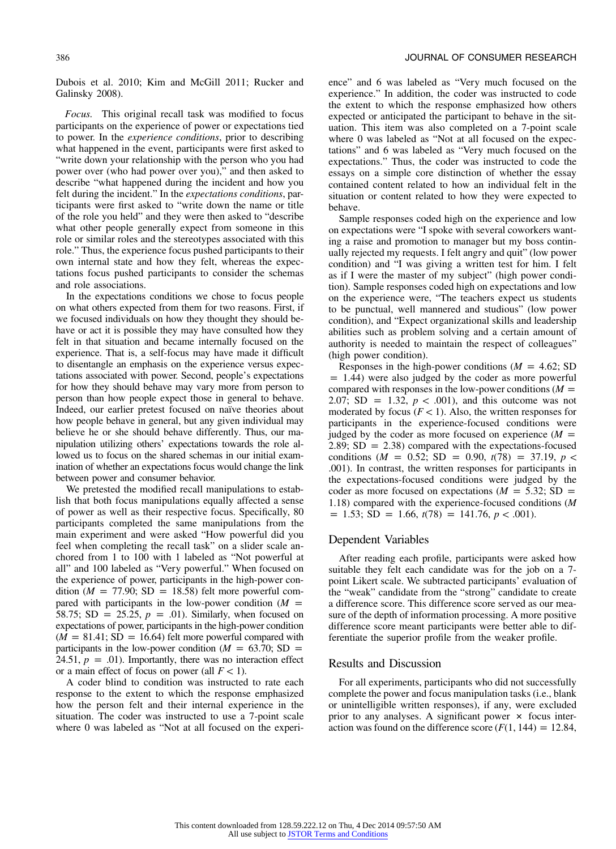Dubois et al. 2010; Kim and McGill 2011; Rucker and Galinsky 2008).

*Focus.* This original recall task was modified to focus participants on the experience of power or expectations tied to power. In the *experience conditions*, prior to describing what happened in the event, participants were first asked to "write down your relationship with the person who you had power over (who had power over you)," and then asked to describe "what happened during the incident and how you felt during the incident." In the *expectations conditions*, participants were first asked to "write down the name or title of the role you held" and they were then asked to "describe what other people generally expect from someone in this role or similar roles and the stereotypes associated with this role." Thus, the experience focus pushed participants to their own internal state and how they felt, whereas the expectations focus pushed participants to consider the schemas and role associations.

In the expectations conditions we chose to focus people on what others expected from them for two reasons. First, if we focused individuals on how they thought they should behave or act it is possible they may have consulted how they felt in that situation and became internally focused on the experience. That is, a self-focus may have made it difficult to disentangle an emphasis on the experience versus expectations associated with power. Second, people's expectations for how they should behave may vary more from person to person than how people expect those in general to behave. Indeed, our earlier pretest focused on naïve theories about how people behave in general, but any given individual may believe he or she should behave differently. Thus, our manipulation utilizing others' expectations towards the role allowed us to focus on the shared schemas in our initial examination of whether an expectations focus would change the link between power and consumer behavior.

We pretested the modified recall manipulations to establish that both focus manipulations equally affected a sense of power as well as their respective focus. Specifically, 80 participants completed the same manipulations from the main experiment and were asked "How powerful did you feel when completing the recall task" on a slider scale anchored from 1 to 100 with 1 labeled as "Not powerful at all" and 100 labeled as "Very powerful." When focused on the experience of power, participants in the high-power condition ( $M = 77.90$ ; SD = 18.58) felt more powerful compared with participants in the low-power condition  $(M =$ 58.75; SD = 25.25,  $p = .01$ ). Similarly, when focused on expectations of power, participants in the high-power condition  $(M = 81.41; SD = 16.64)$  felt more powerful compared with participants in the low-power condition ( $M = 63.70$ ; SD = 24.51,  $p = .01$ ). Importantly, there was no interaction effect or a main effect of focus on power (all  $F < 1$ ).

A coder blind to condition was instructed to rate each response to the extent to which the response emphasized how the person felt and their internal experience in the situation. The coder was instructed to use a 7-point scale where 0 was labeled as "Not at all focused on the experience" and 6 was labeled as "Very much focused on the experience." In addition, the coder was instructed to code the extent to which the response emphasized how others expected or anticipated the participant to behave in the situation. This item was also completed on a 7-point scale where 0 was labeled as "Not at all focused on the expectations" and 6 was labeled as "Very much focused on the expectations." Thus, the coder was instructed to code the essays on a simple core distinction of whether the essay contained content related to how an individual felt in the situation or content related to how they were expected to behave.

Sample responses coded high on the experience and low on expectations were "I spoke with several coworkers wanting a raise and promotion to manager but my boss continually rejected my requests. I felt angry and quit" (low power condition) and "I was giving a written test for him. I felt as if I were the master of my subject" (high power condition). Sample responses coded high on expectations and low on the experience were, "The teachers expect us students to be punctual, well mannered and studious" (low power condition), and "Expect organizational skills and leadership abilities such as problem solving and a certain amount of authority is needed to maintain the respect of colleagues" (high power condition).

Responses in the high-power conditions ( $M = 4.62$ ; SD  $= 1.44$ ) were also judged by the coder as more powerful compared with responses in the low-power conditions  $(M =$ 2.07; SD = 1.32,  $p < .001$ ), and this outcome was not moderated by focus  $(F < 1)$ . Also, the written responses for participants in the experience-focused conditions were judged by the coder as more focused on experience  $(M =$ 2.89;  $SD = 2.38$ ) compared with the expectations-focused conditions ( $M = 0.52$ ; SD = 0.90,  $t(78) = 37.19$ ,  $p <$ .001). In contrast, the written responses for participants in the expectations-focused conditions were judged by the coder as more focused on expectations ( $M = 5.32$ ; SD = 1.18) compared with the experience-focused conditions (*M*  $p = 1.53$ ; SD = 1.66,  $t(78) = 141.76$ ,  $p < .001$ ).

### Dependent Variables

After reading each profile, participants were asked how suitable they felt each candidate was for the job on a 7 point Likert scale. We subtracted participants' evaluation of the "weak" candidate from the "strong" candidate to create a difference score. This difference score served as our measure of the depth of information processing. A more positive difference score meant participants were better able to differentiate the superior profile from the weaker profile.

#### Results and Discussion

For all experiments, participants who did not successfully complete the power and focus manipulation tasks (i.e., blank or unintelligible written responses), if any, were excluded prior to any analyses. A significant power  $\times$  focus interaction was found on the difference score  $(F(1, 144) = 12.84$ ,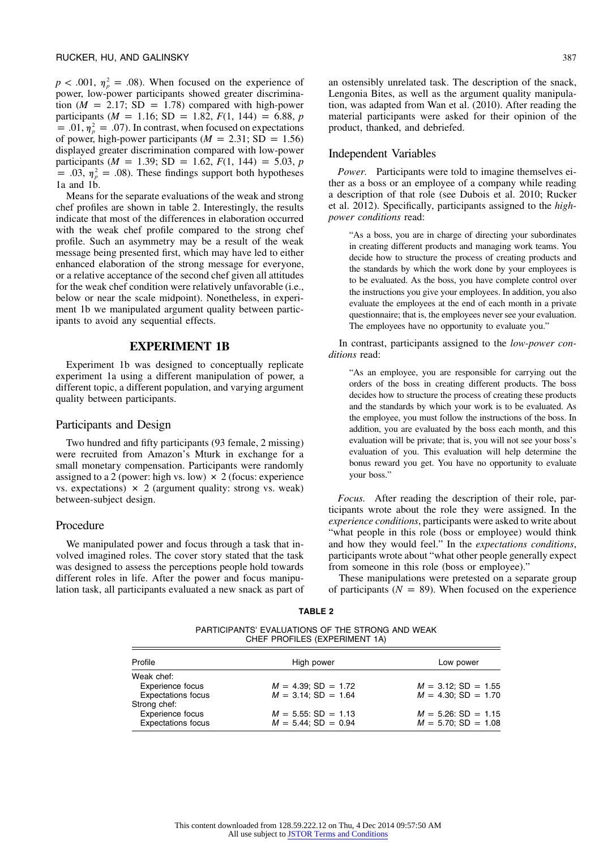$p < .001$ ,  $\eta_p^2 = .08$ ). When focused on the experience of power, low-power participants showed greater discrimination ( $M = 2.17$ ; SD = 1.78) compared with high-power participants ( $M = 1.16$ ; SD = 1.82,  $F(1, 144) = 6.88$ , *p*  $p = .01, \eta_p^2 = .07$ ). In contrast, when focused on expectations of power, high-power participants ( $M = 2.31$ ; SD = 1.56) displayed greater discrimination compared with low-power participants ( $M = 1.39$ ; SD = 1.62,  $F(1, 144) = 5.03$ , *p*  $p = .03$ ,  $\eta_p^2 = .08$ ). These findings support both hypotheses 1a and 1b.

Means for the separate evaluations of the weak and strong chef profiles are shown in table 2. Interestingly, the results indicate that most of the differences in elaboration occurred with the weak chef profile compared to the strong chef profile. Such an asymmetry may be a result of the weak message being presented first, which may have led to either enhanced elaboration of the strong message for everyone, or a relative acceptance of the second chef given all attitudes for the weak chef condition were relatively unfavorable (i.e., below or near the scale midpoint). Nonetheless, in experiment 1b we manipulated argument quality between participants to avoid any sequential effects.

#### **EXPERIMENT 1B**

Experiment 1b was designed to conceptually replicate experiment 1a using a different manipulation of power, a different topic, a different population, and varying argument quality between participants.

#### Participants and Design

Two hundred and fifty participants (93 female, 2 missing) were recruited from Amazon's Mturk in exchange for a small monetary compensation. Participants were randomly assigned to a 2 (power: high vs. low)  $\times$  2 (focus: experience vs. expectations)  $\times$  2 (argument quality: strong vs. weak) between-subject design.

#### Procedure

We manipulated power and focus through a task that involved imagined roles. The cover story stated that the task was designed to assess the perceptions people hold towards different roles in life. After the power and focus manipulation task, all participants evaluated a new snack as part of an ostensibly unrelated task. The description of the snack, Lengonia Bites, as well as the argument quality manipulation, was adapted from Wan et al. (2010). After reading the material participants were asked for their opinion of the product, thanked, and debriefed.

#### Independent Variables

*Power.* Participants were told to imagine themselves either as a boss or an employee of a company while reading a description of that role (see Dubois et al. 2010; Rucker et al. 2012). Specifically, participants assigned to the *highpower conditions* read:

"As a boss, you are in charge of directing your subordinates in creating different products and managing work teams. You decide how to structure the process of creating products and the standards by which the work done by your employees is to be evaluated. As the boss, you have complete control over the instructions you give your employees. In addition, you also evaluate the employees at the end of each month in a private questionnaire; that is, the employees never see your evaluation. The employees have no opportunity to evaluate you."

In contrast, participants assigned to the *low-power conditions* read:

"As an employee, you are responsible for carrying out the orders of the boss in creating different products. The boss decides how to structure the process of creating these products and the standards by which your work is to be evaluated. As the employee, you must follow the instructions of the boss. In addition, you are evaluated by the boss each month, and this evaluation will be private; that is, you will not see your boss's evaluation of you. This evaluation will help determine the bonus reward you get. You have no opportunity to evaluate your boss."

*Focus.* After reading the description of their role, participants wrote about the role they were assigned. In the *experience conditions*, participants were asked to write about "what people in this role (boss or employee) would think and how they would feel." In the *expectations conditions*, participants wrote about "what other people generally expect from someone in this role (boss or employee)."

These manipulations were pretested on a separate group of participants ( $N = 89$ ). When focused on the experience

#### **TABLE 2**

PARTICIPANTS' EVALUATIONS OF THE STRONG AND WEAK CHEF PROFILES (EXPERIMENT 1A)

| Profile                                                       | High power                                       | Low power                                        |
|---------------------------------------------------------------|--------------------------------------------------|--------------------------------------------------|
| Weak chef:<br>Experience focus<br><b>Expectations focus</b>   | $M = 4.39$ ; SD = 1.72<br>$M = 3.14$ ; SD = 1.64 | $M = 3.12$ ; SD = 1.55<br>$M = 4.30$ : SD = 1.70 |
| Strong chef:<br>Experience focus<br><b>Expectations focus</b> | $M = 5.55$ : SD = 1.13<br>$M = 5.44$ : SD = 0.94 | $M = 5.26$ : SD = 1.15<br>$M = 5.70$ ; SD = 1.08 |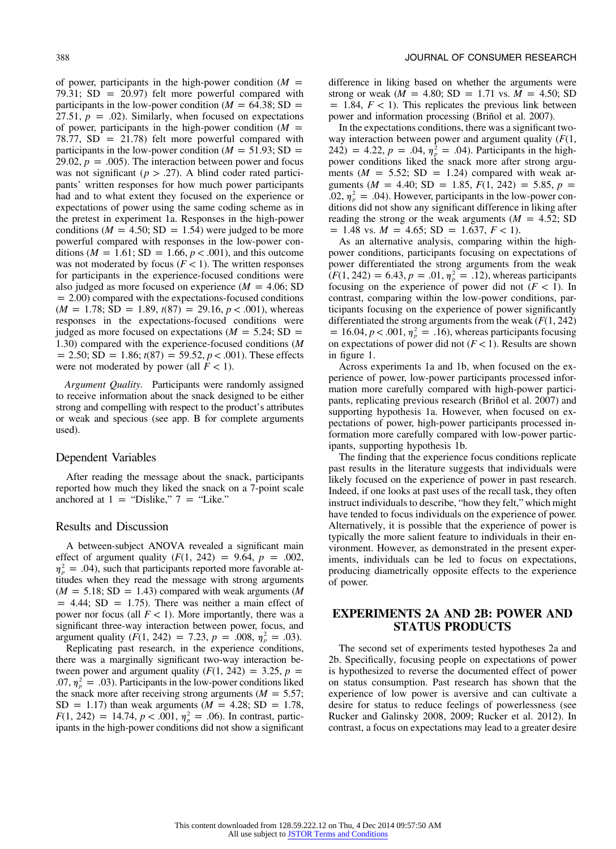of power, participants in the high-power condition  $(M =$ 79.31;  $SD = 20.97$ ) felt more powerful compared with participants in the low-power condition ( $M = 64.38$ ; SD = 27.51,  $p = .02$ ). Similarly, when focused on expectations of power, participants in the high-power condition  $(M =$ 78.77,  $SD = 21.78$  felt more powerful compared with participants in the low-power condition ( $M = 51.93$ ; SD = 29.02,  $p = .005$ ). The interaction between power and focus was not significant ( $p > .27$ ). A blind coder rated participants' written responses for how much power participants had and to what extent they focused on the experience or expectations of power using the same coding scheme as in the pretest in experiment 1a. Responses in the high-power conditions ( $M = 4.50$ ; SD = 1.54) were judged to be more powerful compared with responses in the low-power conditions ( $M = 1.61$ ; SD = 1.66,  $p < .001$ ), and this outcome was not moderated by focus  $(F < 1)$ . The written responses for participants in the experience-focused conditions were also judged as more focused on experience  $(M = 4.06; SD)$  $p = 2.00$ ) compared with the expectations-focused conditions  $(M = 1.78; SD = 1.89, t(87) = 29.16, p < .001)$ , whereas responses in the expectations-focused conditions were judged as more focused on expectations ( $M = 5.24$ ; SD = 1.30) compared with the experience-focused conditions (*M*  $p = 2.50$ ; SD = 1.86;  $t(87) = 59.52$ ,  $p < .001$ ). These effects were not moderated by power (all  $F < 1$ ).

*Argument Quality.* Participants were randomly assigned to receive information about the snack designed to be either strong and compelling with respect to the product's attributes or weak and specious (see app. B for complete arguments used).

#### Dependent Variables

After reading the message about the snack, participants reported how much they liked the snack on a 7-point scale anchored at  $1 =$  "Dislike,"  $7 =$  "Like."

#### Results and Discussion

A between-subject ANOVA revealed a significant main effect of argument quality  $(F(1, 242) = 9.64, p = .002,$  $\eta_p^2 = .04$ ), such that participants reported more favorable attitudes when they read the message with strong arguments  $(M = 5.18; SD = 1.43)$  compared with weak arguments (*M*  $p = 4.44$ ; SD = 1.75). There was neither a main effect of power nor focus (all  $F < 1$ ). More importantly, there was a significant three-way interaction between power, focus, and argument quality  $(F(1, 242) = 7.23, p = .008, \eta_p^2 = .03)$ .

Replicating past research, in the experience conditions, there was a marginally significant two-way interaction between power and argument quality  $(F(1, 242) = 3.25, p =$ .07,  $\eta_p^2 = .03$ ). Participants in the low-power conditions liked the snack more after receiving strong arguments ( $M = 5.57$ ;  $SD = 1.17$ ) than weak arguments (*M* = 4.28; SD = 1.78,  $F(1, 242) = 14.74, p < .001, \eta_p^2 = .06$ ). In contrast, participants in the high-power conditions did not show a significant difference in liking based on whether the arguments were strong or weak ( $M = 4.80$ ; SD = 1.71 vs.  $M = 4.50$ ; SD  $= 1.84, F < 1$ ). This replicates the previous link between power and information processing (Briñol et al. 2007).

In the expectations conditions, there was a significant twoway interaction between power and argument quality (*F*(1, 242) = 4.22,  $p = .04$ ,  $\eta_p^2 = .04$ ). Participants in the highpower conditions liked the snack more after strong arguments ( $M = 5.52$ ; SD = 1.24) compared with weak arguments ( $M = 4.40$ ; SD = 1.85,  $F(1, 242) = 5.85$ ,  $p =$ .02,  $\eta_n^2 = .04$ ). However, participants in the low-power conditions did not show any significant difference in liking after reading the strong or the weak arguments  $(M = 4.52; SD)$  $= 1.48$  vs. *M* = 4.65; SD = 1.637, *F* < 1).

As an alternative analysis, comparing within the highpower conditions, participants focusing on expectations of power differentiated the strong arguments from the weak  $(F(1, 242) = 6.43, p = .01, \eta_p^2 = .12)$ , whereas participants focusing on the experience of power did not  $(F < 1)$ . In contrast, comparing within the low-power conditions, participants focusing on the experience of power significantly differentiated the strong arguments from the weak (*F*(1, 242)  $p = 16.04$ ,  $p < .001$ ,  $\eta_p^2 = .16$ ), whereas participants focusing on expectations of power did not  $(F < 1)$ . Results are shown in figure 1.

Across experiments 1a and 1b, when focused on the experience of power, low-power participants processed information more carefully compared with high-power participants, replicating previous research (Briñol et al. 2007) and supporting hypothesis 1a. However, when focused on expectations of power, high-power participants processed information more carefully compared with low-power participants, supporting hypothesis 1b.

The finding that the experience focus conditions replicate past results in the literature suggests that individuals were likely focused on the experience of power in past research. Indeed, if one looks at past uses of the recall task, they often instruct individuals to describe, "how they felt," which might have tended to focus individuals on the experience of power. Alternatively, it is possible that the experience of power is typically the more salient feature to individuals in their environment. However, as demonstrated in the present experiments, individuals can be led to focus on expectations, producing diametrically opposite effects to the experience of power.

# **EXPERIMENTS 2A AND 2B: POWER AND STATUS PRODUCTS**

The second set of experiments tested hypotheses 2a and 2b. Specifically, focusing people on expectations of power is hypothesized to reverse the documented effect of power on status consumption. Past research has shown that the experience of low power is aversive and can cultivate a desire for status to reduce feelings of powerlessness (see Rucker and Galinsky 2008, 2009; Rucker et al. 2012). In contrast, a focus on expectations may lead to a greater desire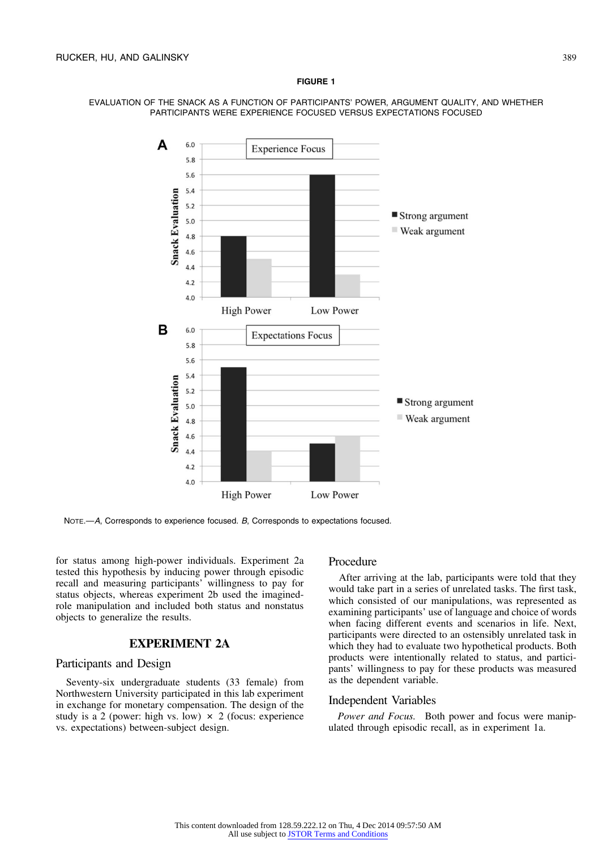

**FIGURE 1**



NOTE.—*A*, Corresponds to experience focused. *B*, Corresponds to expectations focused.

for status among high-power individuals. Experiment 2a tested this hypothesis by inducing power through episodic recall and measuring participants' willingness to pay for status objects, whereas experiment 2b used the imaginedrole manipulation and included both status and nonstatus objects to generalize the results.

# **EXPERIMENT 2A**

# Participants and Design

Seventy-six undergraduate students (33 female) from Northwestern University participated in this lab experiment in exchange for monetary compensation. The design of the study is a 2 (power: high vs. low)  $\times$  2 (focus: experience vs. expectations) between-subject design.

#### Procedure

After arriving at the lab, participants were told that they would take part in a series of unrelated tasks. The first task, which consisted of our manipulations, was represented as examining participants' use of language and choice of words when facing different events and scenarios in life. Next, participants were directed to an ostensibly unrelated task in which they had to evaluate two hypothetical products. Both products were intentionally related to status, and participants' willingness to pay for these products was measured as the dependent variable.

#### Independent Variables

*Power and Focus.* Both power and focus were manipulated through episodic recall, as in experiment 1a.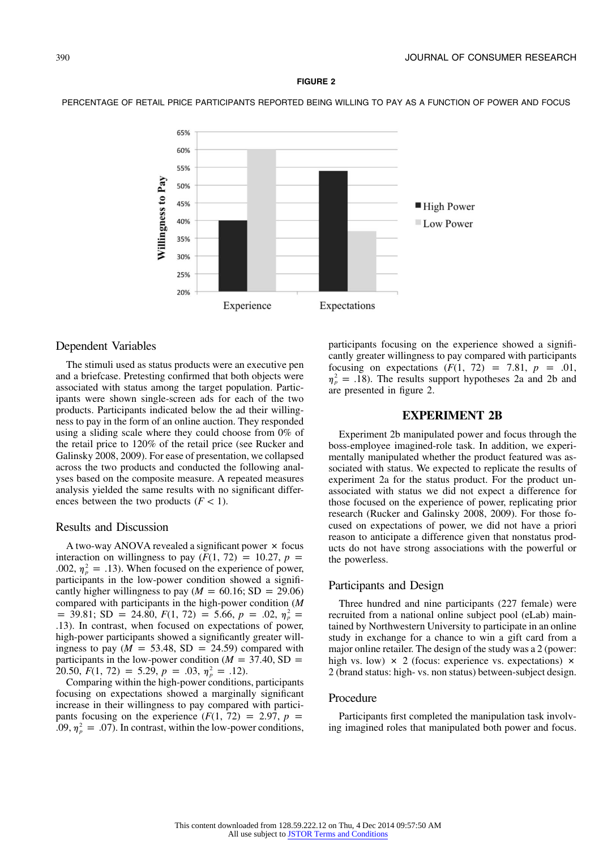#### **FIGURE 2**

PERCENTAGE OF RETAIL PRICE PARTICIPANTS REPORTED BEING WILLING TO PAY AS A FUNCTION OF POWER AND FOCUS



#### Dependent Variables

The stimuli used as status products were an executive pen and a briefcase. Pretesting confirmed that both objects were associated with status among the target population. Participants were shown single-screen ads for each of the two products. Participants indicated below the ad their willingness to pay in the form of an online auction. They responded using a sliding scale where they could choose from 0% of the retail price to 120% of the retail price (see Rucker and Galinsky 2008, 2009). For ease of presentation, we collapsed across the two products and conducted the following analyses based on the composite measure. A repeated measures analysis yielded the same results with no significant differences between the two products  $(F < 1)$ .

#### Results and Discussion

A two-way ANOVA revealed a significant power  $\times$  focus interaction on willingness to pay  $(F(1, 72) = 10.27, p =$ .002,  $\eta_p^2 = .13$ ). When focused on the experience of power, participants in the low-power condition showed a significantly higher willingness to pay  $(M = 60.16; SD = 29.06)$ compared with participants in the high-power condition (*M*  $p = 39.81$ ; SD = 24.80,  $F(1, 72) = 5.66$ ,  $p = .02$ ,  $\eta_p^2 =$ .13). In contrast, when focused on expectations of power, high-power participants showed a significantly greater willingness to pay  $(M = 53.48, SD = 24.59)$  compared with participants in the low-power condition ( $M = 37.40$ , SD = 20.50,  $F(1, 72) = 5.29, p = .03, \eta_p^2 = .12$ .

Comparing within the high-power conditions, participants focusing on expectations showed a marginally significant increase in their willingness to pay compared with participants focusing on the experience  $(F(1, 72) = 2.97, p =$ .09,  $\eta_p^2 = .07$ ). In contrast, within the low-power conditions, participants focusing on the experience showed a significantly greater willingness to pay compared with participants focusing on expectations  $(F(1, 72) = 7.81, p = .01,$  $\eta_p^2 = .18$ ). The results support hypotheses 2a and 2b and are presented in figure 2.

#### **EXPERIMENT 2B**

Experiment 2b manipulated power and focus through the boss-employee imagined-role task. In addition, we experimentally manipulated whether the product featured was associated with status. We expected to replicate the results of experiment 2a for the status product. For the product unassociated with status we did not expect a difference for those focused on the experience of power, replicating prior research (Rucker and Galinsky 2008, 2009). For those focused on expectations of power, we did not have a priori reason to anticipate a difference given that nonstatus products do not have strong associations with the powerful or the powerless.

#### Participants and Design

Three hundred and nine participants (227 female) were recruited from a national online subject pool (eLab) maintained by Northwestern University to participate in an online study in exchange for a chance to win a gift card from a major online retailer. The design of the study was a 2 (power: high vs. low)  $\times$  2 (focus: experience vs. expectations)  $\times$ 2 (brand status: high- vs. non status) between-subject design.

#### Procedure

Participants first completed the manipulation task involving imagined roles that manipulated both power and focus.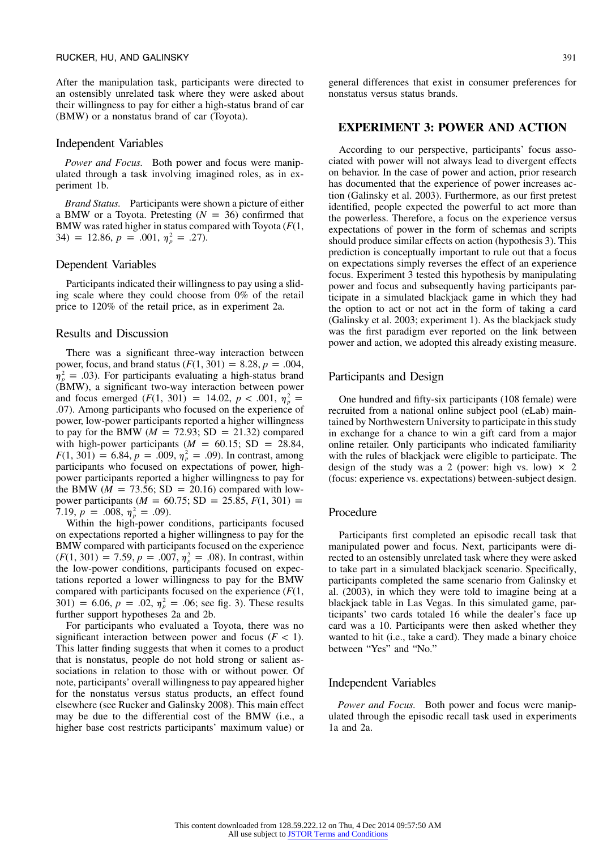After the manipulation task, participants were directed to an ostensibly unrelated task where they were asked about their willingness to pay for either a high-status brand of car (BMW) or a nonstatus brand of car (Toyota).

#### Independent Variables

*Power and Focus.* Both power and focus were manipulated through a task involving imagined roles, as in experiment 1b.

*Brand Status.* Participants were shown a picture of either a BMW or a Toyota. Pretesting  $(N = 36)$  confirmed that BMW was rated higher in status compared with Toyota (*F*(1, 34) = 12.86,  $p = .001$ ,  $\eta_p^2 = .27$ .

#### Dependent Variables

Participants indicated their willingness to pay using a sliding scale where they could choose from 0% of the retail price to 120% of the retail price, as in experiment 2a.

#### Results and Discussion

There was a significant three-way interaction between power, focus, and brand status  $(F(1, 301) = 8.28, p = .004,$  $\eta_p^2 = .03$ ). For participants evaluating a high-status brand (BMW), a significant two-way interaction between power and focus emerged  $(F(1, 301) = 14.02, p < .001, \eta_p^2 =$ .07). Among participants who focused on the experience of power, low-power participants reported a higher willingness to pay for the BMW ( $M = 72.93$ ; SD = 21.32) compared with high-power participants ( $M = 60.15$ ; SD = 28.84,  $F(1, 301) = 6.84, p = .009, \eta_p^2 = .09$ . In contrast, among participants who focused on expectations of power, highpower participants reported a higher willingness to pay for the BMW ( $M = 73.56$ ; SD = 20.16) compared with lowpower participants ( $M = 60.75$ ; SD = 25.85,  $F(1, 301)$  = 7.19,  $p = .008$ ,  $\eta_p^2 = .09$ ).

Within the high-power conditions, participants focused on expectations reported a higher willingness to pay for the BMW compared with participants focused on the experience  $(F(1, 301) = 7.59, p = .007, \eta_p^2 = .08)$ . In contrast, within the low-power conditions, participants focused on expectations reported a lower willingness to pay for the BMW compared with participants focused on the experience (*F*(1, 301) = 6.06,  $p = .02$ ,  $\eta_p^2 = .06$ ; see fig. 3). These results further support hypotheses 2a and 2b.

For participants who evaluated a Toyota, there was no significant interaction between power and focus  $(F < 1)$ . This latter finding suggests that when it comes to a product that is nonstatus, people do not hold strong or salient associations in relation to those with or without power. Of note, participants' overall willingness to pay appeared higher for the nonstatus versus status products, an effect found elsewhere (see Rucker and Galinsky 2008). This main effect may be due to the differential cost of the BMW (i.e., a higher base cost restricts participants' maximum value) or general differences that exist in consumer preferences for nonstatus versus status brands.

# **EXPERIMENT 3: POWER AND ACTION**

According to our perspective, participants' focus associated with power will not always lead to divergent effects on behavior. In the case of power and action, prior research has documented that the experience of power increases action (Galinsky et al. 2003). Furthermore, as our first pretest identified, people expected the powerful to act more than the powerless. Therefore, a focus on the experience versus expectations of power in the form of schemas and scripts should produce similar effects on action (hypothesis 3). This prediction is conceptually important to rule out that a focus on expectations simply reverses the effect of an experience focus. Experiment 3 tested this hypothesis by manipulating power and focus and subsequently having participants participate in a simulated blackjack game in which they had the option to act or not act in the form of taking a card (Galinsky et al. 2003; experiment 1). As the blackjack study was the first paradigm ever reported on the link between power and action, we adopted this already existing measure.

#### Participants and Design

One hundred and fifty-six participants (108 female) were recruited from a national online subject pool (eLab) maintained by Northwestern University to participate in this study in exchange for a chance to win a gift card from a major online retailer. Only participants who indicated familiarity with the rules of blackjack were eligible to participate. The design of the study was a 2 (power: high vs. low)  $\times$  2 (focus: experience vs. expectations) between-subject design.

# Procedure

Participants first completed an episodic recall task that manipulated power and focus. Next, participants were directed to an ostensibly unrelated task where they were asked to take part in a simulated blackjack scenario. Specifically, participants completed the same scenario from Galinsky et al. (2003), in which they were told to imagine being at a blackjack table in Las Vegas. In this simulated game, participants' two cards totaled 16 while the dealer's face up card was a 10. Participants were then asked whether they wanted to hit (i.e., take a card). They made a binary choice between "Yes" and "No."

#### Independent Variables

*Power and Focus.* Both power and focus were manipulated through the episodic recall task used in experiments 1a and 2a.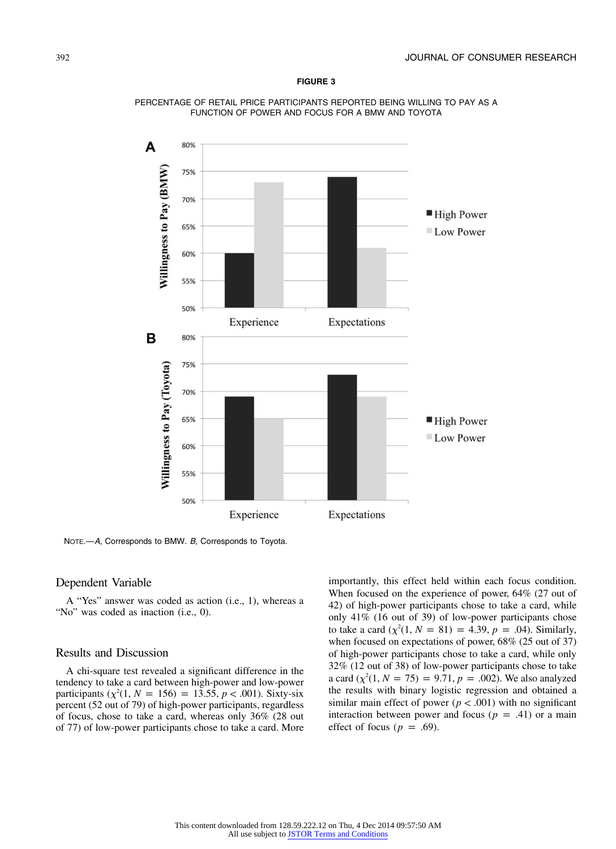**FIGURE 3**



PERCENTAGE OF RETAIL PRICE PARTICIPANTS REPORTED BEING WILLING TO PAY AS A FUNCTION OF POWER AND FOCUS FOR A BMW AND TOYOTA

NOTE.—*A*, Corresponds to BMW. *B*, Corresponds to Toyota.

# Dependent Variable

A "Yes" answer was coded as action (i.e., 1), whereas a "No" was coded as inaction (i.e., 0).

# Results and Discussion

A chi-square test revealed a significant difference in the tendency to take a card between high-power and low-power participants  $(\chi^2(1, N = 156) = 13.55, p < .001)$ . Sixty-six percent (52 out of 79) of high-power participants, regardless of focus, chose to take a card, whereas only 36% (28 out of 77) of low-power participants chose to take a card. More

importantly, this effect held within each focus condition. When focused on the experience of power, 64% (27 out of 42) of high-power participants chose to take a card, while only 41% (16 out of 39) of low-power participants chose to take a card  $(\chi^2(1, N = 81) = 4.39, p = .04)$ . Similarly, when focused on expectations of power, 68% (25 out of 37) of high-power participants chose to take a card, while only 32% (12 out of 38) of low-power participants chose to take a card  $(\chi^2(1, N = 75) = 9.71, p = .002)$ . We also analyzed the results with binary logistic regression and obtained a similar main effect of power ( $p < .001$ ) with no significant interaction between power and focus ( $p = .41$ ) or a main effect of focus ( $p = .69$ ).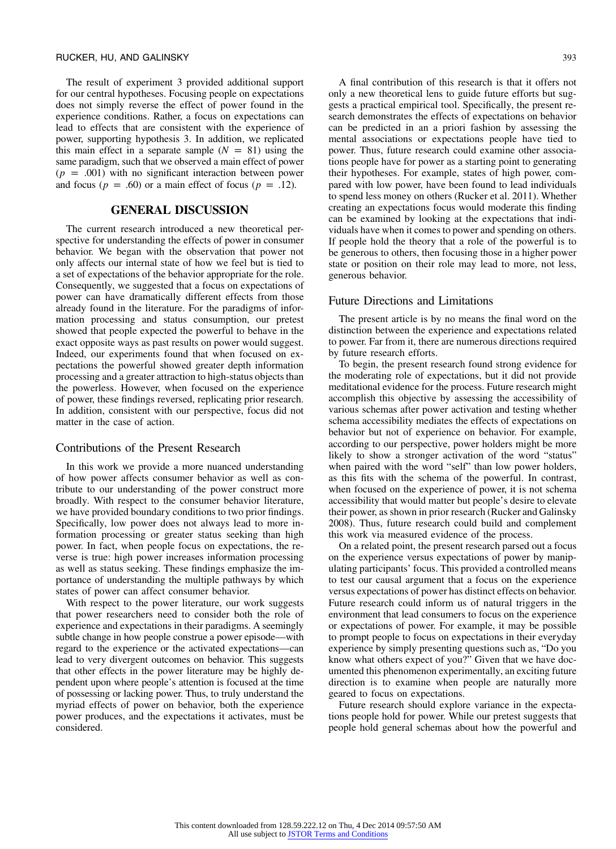#### RUCKER, HU, AND GALINSKY 393

The result of experiment 3 provided additional support for our central hypotheses. Focusing people on expectations does not simply reverse the effect of power found in the experience conditions. Rather, a focus on expectations can lead to effects that are consistent with the experience of power, supporting hypothesis 3. In addition, we replicated this main effect in a separate sample  $(N = 81)$  using the same paradigm, such that we observed a main effect of power  $(p = .001)$  with no significant interaction between power and focus ( $p = .60$ ) or a main effect of focus ( $p = .12$ ).

# **GENERAL DISCUSSION**

The current research introduced a new theoretical perspective for understanding the effects of power in consumer behavior. We began with the observation that power not only affects our internal state of how we feel but is tied to a set of expectations of the behavior appropriate for the role. Consequently, we suggested that a focus on expectations of power can have dramatically different effects from those already found in the literature. For the paradigms of information processing and status consumption, our pretest showed that people expected the powerful to behave in the exact opposite ways as past results on power would suggest. Indeed, our experiments found that when focused on expectations the powerful showed greater depth information processing and a greater attraction to high-status objects than the powerless. However, when focused on the experience of power, these findings reversed, replicating prior research. In addition, consistent with our perspective, focus did not matter in the case of action.

# Contributions of the Present Research

In this work we provide a more nuanced understanding of how power affects consumer behavior as well as contribute to our understanding of the power construct more broadly. With respect to the consumer behavior literature, we have provided boundary conditions to two prior findings. Specifically, low power does not always lead to more information processing or greater status seeking than high power. In fact, when people focus on expectations, the reverse is true: high power increases information processing as well as status seeking. These findings emphasize the importance of understanding the multiple pathways by which states of power can affect consumer behavior.

With respect to the power literature, our work suggests that power researchers need to consider both the role of experience and expectations in their paradigms. A seemingly subtle change in how people construe a power episode—with regard to the experience or the activated expectations—can lead to very divergent outcomes on behavior. This suggests that other effects in the power literature may be highly dependent upon where people's attention is focused at the time of possessing or lacking power. Thus, to truly understand the myriad effects of power on behavior, both the experience power produces, and the expectations it activates, must be considered.

A final contribution of this research is that it offers not only a new theoretical lens to guide future efforts but suggests a practical empirical tool. Specifically, the present research demonstrates the effects of expectations on behavior can be predicted in an a priori fashion by assessing the mental associations or expectations people have tied to power. Thus, future research could examine other associations people have for power as a starting point to generating their hypotheses. For example, states of high power, compared with low power, have been found to lead individuals to spend less money on others (Rucker et al. 2011). Whether creating an expectations focus would moderate this finding can be examined by looking at the expectations that individuals have when it comes to power and spending on others. If people hold the theory that a role of the powerful is to be generous to others, then focusing those in a higher power state or position on their role may lead to more, not less, generous behavior.

#### Future Directions and Limitations

The present article is by no means the final word on the distinction between the experience and expectations related to power. Far from it, there are numerous directions required by future research efforts.

To begin, the present research found strong evidence for the moderating role of expectations, but it did not provide meditational evidence for the process. Future research might accomplish this objective by assessing the accessibility of various schemas after power activation and testing whether schema accessibility mediates the effects of expectations on behavior but not of experience on behavior. For example, according to our perspective, power holders might be more likely to show a stronger activation of the word "status" when paired with the word "self" than low power holders, as this fits with the schema of the powerful. In contrast, when focused on the experience of power, it is not schema accessibility that would matter but people's desire to elevate their power, as shown in prior research (Rucker and Galinsky 2008). Thus, future research could build and complement this work via measured evidence of the process.

On a related point, the present research parsed out a focus on the experience versus expectations of power by manipulating participants' focus. This provided a controlled means to test our causal argument that a focus on the experience versus expectations of power has distinct effects on behavior. Future research could inform us of natural triggers in the environment that lead consumers to focus on the experience or expectations of power. For example, it may be possible to prompt people to focus on expectations in their everyday experience by simply presenting questions such as, "Do you know what others expect of you?" Given that we have documented this phenomenon experimentally, an exciting future direction is to examine when people are naturally more geared to focus on expectations.

Future research should explore variance in the expectations people hold for power. While our pretest suggests that people hold general schemas about how the powerful and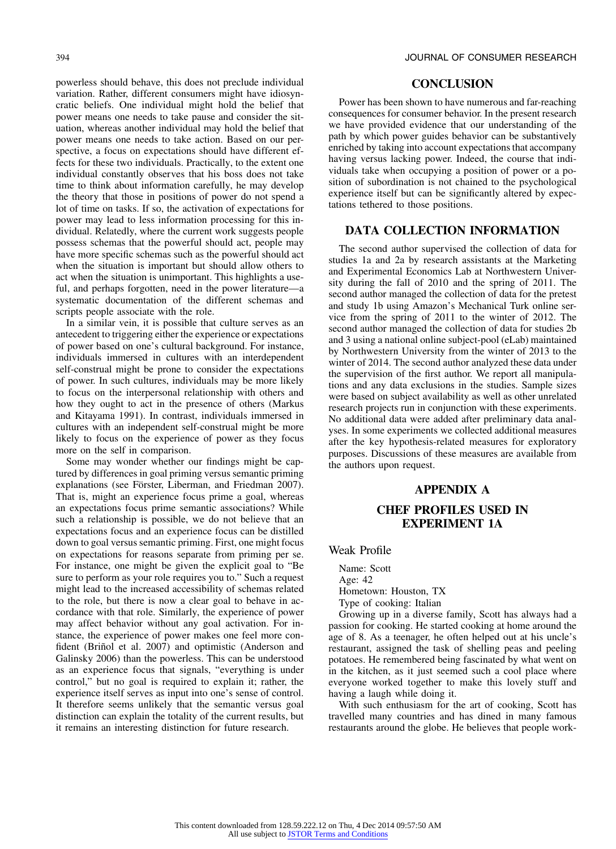powerless should behave, this does not preclude individual variation. Rather, different consumers might have idiosyncratic beliefs. One individual might hold the belief that power means one needs to take pause and consider the situation, whereas another individual may hold the belief that power means one needs to take action. Based on our perspective, a focus on expectations should have different effects for these two individuals. Practically, to the extent one individual constantly observes that his boss does not take time to think about information carefully, he may develop the theory that those in positions of power do not spend a lot of time on tasks. If so, the activation of expectations for power may lead to less information processing for this individual. Relatedly, where the current work suggests people possess schemas that the powerful should act, people may have more specific schemas such as the powerful should act when the situation is important but should allow others to act when the situation is unimportant. This highlights a useful, and perhaps forgotten, need in the power literature—a systematic documentation of the different schemas and scripts people associate with the role.

In a similar vein, it is possible that culture serves as an antecedent to triggering either the experience or expectations of power based on one's cultural background. For instance, individuals immersed in cultures with an interdependent self-construal might be prone to consider the expectations of power. In such cultures, individuals may be more likely to focus on the interpersonal relationship with others and how they ought to act in the presence of others (Markus and Kitayama 1991). In contrast, individuals immersed in cultures with an independent self-construal might be more likely to focus on the experience of power as they focus more on the self in comparison.

Some may wonder whether our findings might be captured by differences in goal priming versus semantic priming explanations (see Förster, Liberman, and Friedman 2007). That is, might an experience focus prime a goal, whereas an expectations focus prime semantic associations? While such a relationship is possible, we do not believe that an expectations focus and an experience focus can be distilled down to goal versus semantic priming. First, one might focus on expectations for reasons separate from priming per se. For instance, one might be given the explicit goal to "Be sure to perform as your role requires you to." Such a request might lead to the increased accessibility of schemas related to the role, but there is now a clear goal to behave in accordance with that role. Similarly, the experience of power may affect behavior without any goal activation. For instance, the experience of power makes one feel more confident (Briñol et al. 2007) and optimistic (Anderson and Galinsky 2006) than the powerless. This can be understood as an experience focus that signals, "everything is under control," but no goal is required to explain it; rather, the experience itself serves as input into one's sense of control. It therefore seems unlikely that the semantic versus goal distinction can explain the totality of the current results, but it remains an interesting distinction for future research.

#### 394 JOURNAL OF CONSUMER RESEARCH

## **CONCLUSION**

Power has been shown to have numerous and far-reaching consequences for consumer behavior. In the present research we have provided evidence that our understanding of the path by which power guides behavior can be substantively enriched by taking into account expectations that accompany having versus lacking power. Indeed, the course that individuals take when occupying a position of power or a position of subordination is not chained to the psychological experience itself but can be significantly altered by expectations tethered to those positions.

# **DATA COLLECTION INFORMATION**

The second author supervised the collection of data for studies 1a and 2a by research assistants at the Marketing and Experimental Economics Lab at Northwestern University during the fall of 2010 and the spring of 2011. The second author managed the collection of data for the pretest and study 1b using Amazon's Mechanical Turk online service from the spring of 2011 to the winter of 2012. The second author managed the collection of data for studies 2b and 3 using a national online subject-pool (eLab) maintained by Northwestern University from the winter of 2013 to the winter of 2014. The second author analyzed these data under the supervision of the first author. We report all manipulations and any data exclusions in the studies. Sample sizes were based on subject availability as well as other unrelated research projects run in conjunction with these experiments. No additional data were added after preliminary data analyses. In some experiments we collected additional measures after the key hypothesis-related measures for exploratory purposes. Discussions of these measures are available from the authors upon request.

# **APPENDIX A**

# **CHEF PROFILES USED IN EXPERIMENT 1A**

#### Weak Profile

Name: Scott Age: 42 Hometown: Houston, TX Type of cooking: Italian

Growing up in a diverse family, Scott has always had a passion for cooking. He started cooking at home around the age of 8. As a teenager, he often helped out at his uncle's restaurant, assigned the task of shelling peas and peeling potatoes. He remembered being fascinated by what went on in the kitchen, as it just seemed such a cool place where everyone worked together to make this lovely stuff and having a laugh while doing it.

With such enthusiasm for the art of cooking, Scott has travelled many countries and has dined in many famous restaurants around the globe. He believes that people work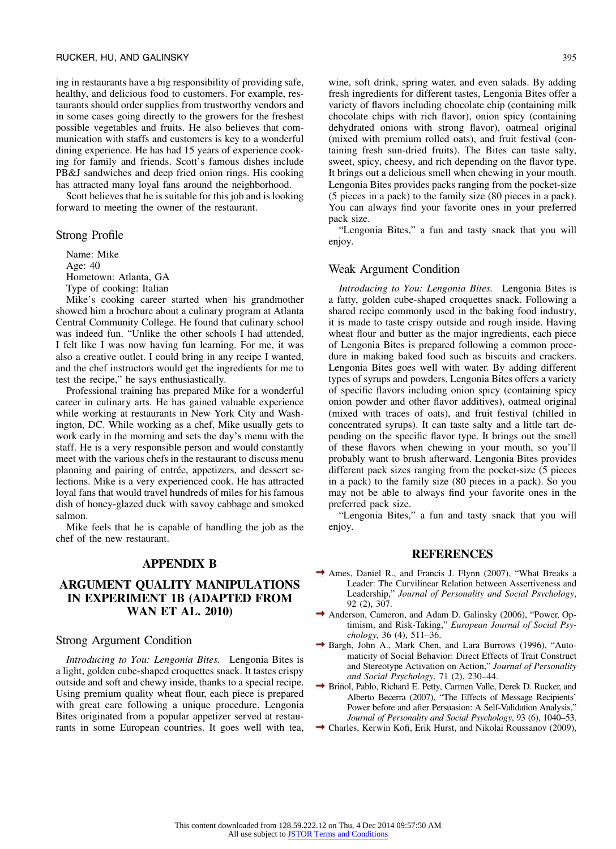ing in restaurants have a big responsibility of providing safe, healthy, and delicious food to customers. For example, restaurants should order supplies from trustworthy vendors and in some cases going directly to the growers for the freshest possible vegetables and fruits. He also believes that communication with staffs and customers is key to a wonderful dining experience. He has had 15 years of experience cooking for family and friends. Scott's famous dishes include PB&J sandwiches and deep fried onion rings. His cooking has attracted many loyal fans around the neighborhood.

Scott believes that he is suitable for this job and is looking forward to meeting the owner of the restaurant.

#### Strong Profile

Name: Mike Age: 40 Hometown: Atlanta, GA Type of cooking: Italian

Mike's cooking career started when his grandmother showed him a brochure about a culinary program at Atlanta Central Community College. He found that culinary school was indeed fun. "Unlike the other schools I had attended, I felt like I was now having fun learning. For me, it was also a creative outlet. I could bring in any recipe I wanted, and the chef instructors would get the ingredients for me to test the recipe," he says enthusiastically.

Professional training has prepared Mike for a wonderful career in culinary arts. He has gained valuable experience while working at restaurants in New York City and Washington, DC. While working as a chef, Mike usually gets to work early in the morning and sets the day's menu with the staff. He is a very responsible person and would constantly meet with the various chefs in the restaurant to discuss menu planning and pairing of entrée, appetizers, and dessert selections. Mike is a very experienced cook. He has attracted loyal fans that would travel hundreds of miles for his famous dish of honey-glazed duck with savoy cabbage and smoked salmon.

Mike feels that he is capable of handling the job as the chef of the new restaurant.

# **APPENDIX B**

# **ARGUMENT QUALITY MANIPULATIONS IN EXPERIMENT 1B (ADAPTED FROM WAN ET AL. 2010)**

#### Strong Argument Condition

*Introducing to You: Lengonia Bites.* Lengonia Bites is a light, golden cube-shaped croquettes snack. It tastes crispy outside and soft and chewy inside, thanks to a special recipe. Using premium quality wheat flour, each piece is prepared with great care following a unique procedure. Lengonia Bites originated from a popular appetizer served at restaurants in some European countries. It goes well with tea, wine, soft drink, spring water, and even salads. By adding fresh ingredients for different tastes, Lengonia Bites offer a variety of flavors including chocolate chip (containing milk chocolate chips with rich flavor), onion spicy (containing dehydrated onions with strong flavor), oatmeal original (mixed with premium rolled oats), and fruit festival (containing fresh sun-dried fruits). The Bites can taste salty, sweet, spicy, cheesy, and rich depending on the flavor type. It brings out a delicious smell when chewing in your mouth. Lengonia Bites provides packs ranging from the pocket-size (5 pieces in a pack) to the family size (80 pieces in a pack). You can always find your favorite ones in your preferred pack size.

"Lengonia Bites," a fun and tasty snack that you will enjoy.

# Weak Argument Condition

*Introducing to You: Lengonia Bites.* Lengonia Bites is a fatty, golden cube-shaped croquettes snack. Following a shared recipe commonly used in the baking food industry, it is made to taste crispy outside and rough inside. Having wheat flour and butter as the major ingredients, each piece of Lengonia Bites is prepared following a common procedure in making baked food such as biscuits and crackers. Lengonia Bites goes well with water. By adding different types of syrups and powders, Lengonia Bites offers a variety of specific flavors including onion spicy (containing spicy onion powder and other flavor additives), oatmeal original (mixed with traces of oats), and fruit festival (chilled in concentrated syrups). It can taste salty and a little tart depending on the specific flavor type. It brings out the smell of these flavors when chewing in your mouth, so you'll probably want to brush afterward. Lengonia Bites provides different pack sizes ranging from the pocket-size (5 pieces in a pack) to the family size (80 pieces in a pack). So you may not be able to always find your favorite ones in the preferred pack size.

"Lengonia Bites," a fun and tasty snack that you will enjoy.

#### **REFERENCES**

- Ames, Daniel R., and Francis J. Flynn (2007), "What Breaks a Leader: The Curvilinear Relation between Assertiveness and Leadership," *Journal of Personality and Social Psychology*, 92 (2), 307.
- Anderson, Cameron, and Adam D. Galinsky (2006), "Power, Optimism, and Risk-Taking," *European Journal of Social Psychology*, 36 (4), 511–36.
- Bargh, John A., Mark Chen, and Lara Burrows (1996), "Automaticity of Social Behavior: Direct Effects of Trait Construct and Stereotype Activation on Action," *Journal of Personality and Social Psychology*, 71 (2), 230–44.
- → Briñol, Pablo, Richard E. Petty, Carmen Valle, Derek D. Rucker, and Alberto Becerra (2007), "The Effects of Message Recipients' Power before and after Persuasion: A Self-Validation Analysis," *Journal of Personality and Social Psychology*, 93 (6), 1040–53.
- Charles, Kerwin Kofi, Erik Hurst, and Nikolai Roussanov (2009),